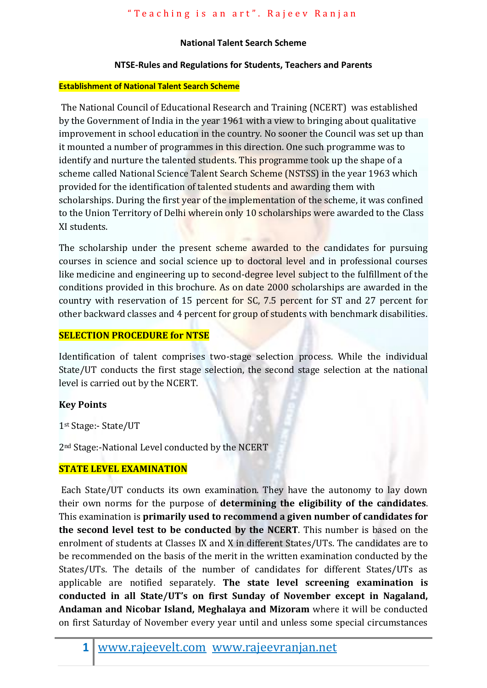## **National Talent Search Scheme**

# **NTSE-Rules and Regulations for Students, Teachers and Parents**

### **Establishment of National Talent Search Scheme**

The National Council of Educational Research and Training (NCERT) was established by the Government of India in the year 1961 with a view to bringing about qualitative improvement in school education in the country. No sooner the Council was set up than it mounted a number of programmes in this direction. One such programme was to identify and nurture the talented students. This programme took up the shape of a scheme called National Science Talent Search Scheme (NSTSS) in the year 1963 which provided for the identification of talented students and awarding them with scholarships. During the first year of the implementation of the scheme, it was confined to the Union Territory of Delhi wherein only 10 scholarships were awarded to the Class XI students.

The scholarship under the present scheme awarded to the candidates for pursuing courses in science and social science up to doctoral level and in professional courses like medicine and engineering up to second-degree level subject to the fulfillment of the conditions provided in this brochure. As on date 2000 scholarships are awarded in the country with reservation of 15 percent for SC, 7.5 percent for ST and 27 percent for other backward classes and 4 percent for group of students with benchmark disabilities.

## **SELECTION PROCEDURE for NTSE**

Identification of talent comprises two-stage selection process. While the individual State/UT conducts the first stage selection, the second stage selection at the national level is carried out by the NCERT.

# **Key Points**

1st Stage:- State/UT

2nd Stage:-National Level conducted by the NCERT

## **STATE LEVEL EXAMINATION**

Each State/UT conducts its own examination. They have the autonomy to lay down their own norms for the purpose of **determining the eligibility of the candidates**. This examination is **primarily used to recommend a given number of candidates for the second level test to be conducted by the NCERT**. This number is based on the enrolment of students at Classes IX and X in different States/UTs. The candidates are to be recommended on the basis of the merit in the written examination conducted by the States/UTs. The details of the number of candidates for different States/UTs as applicable are notified separately. **The state level screening examination is conducted in all State/UT's on first Sunday of November except in Nagaland, Andaman and Nicobar Island, Meghalaya and Mizoram** where it will be conducted on first Saturday of November every year until and unless some special circumstances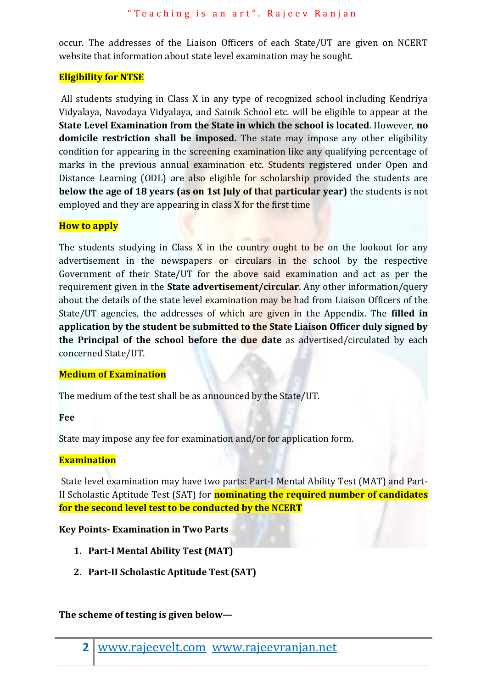occur. The addresses of the Liaison Officers of each State/UT are given on NCERT website that information about state level examination may be sought.

## **Eligibility for NTSE**

All students studying in Class X in any type of recognized school including Kendriya Vidyalaya, Navodaya Vidyalaya, and Sainik School etc. will be eligible to appear at the **State Level Examination from the State in which the school is located**. However, **no domicile restriction shall be imposed.** The state may impose any other eligibility condition for appearing in the screening examination like any qualifying percentage of marks in the previous annual examination etc. Students registered under Open and Distance Learning (ODL) are also eligible for scholarship provided the students are **below the age of 18 years (as on 1st July of that particular year)** the students is not employed and they are appearing in class X for the first time

## **How to apply**

The students studying in Class X in the country ought to be on the lookout for any advertisement in the newspapers or circulars in the school by the respective Government of their State/UT for the above said examination and act as per the requirement given in the **State advertisement/circular**. Any other information/query about the details of the state level examination may be had from Liaison Officers of the State/UT agencies, the addresses of which are given in the Appendix. The **filled in application by the student be submitted to the State Liaison Officer duly signed by the Principal of the school before the due date** as advertised/circulated by each concerned State/UT.

# **Medium of Examination**

The medium of the test shall be as announced by the State/UT.

## **Fee**

State may impose any fee for examination and/or for application form.

## **Examination**

State level examination may have two parts: Part-I Mental Ability Test (MAT) and Part-II Scholastic Aptitude Test (SAT) for **nominating the required number of candidates for the second level test to be conducted by the NCERT**

## **Key Points- Examination in Two Parts**

- **1. Part-I Mental Ability Test (MAT)**
- **2. Part-II Scholastic Aptitude Test (SAT)**

# **The scheme of testing is given below—**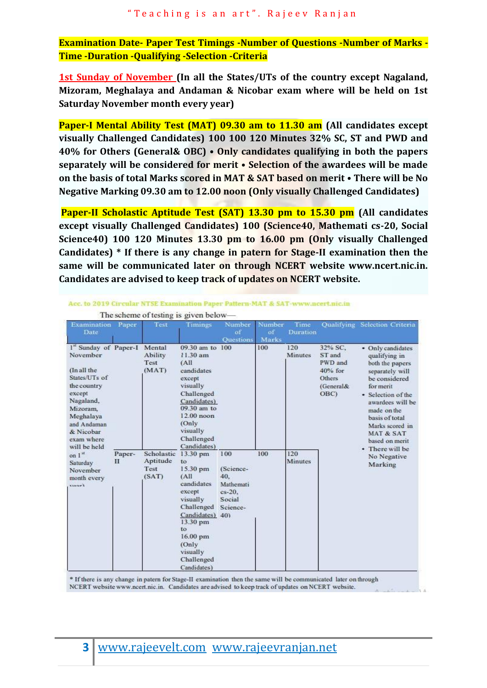**Examination Date- Paper Test Timings -Number of Questions -Number of Marks - Time -Duration -Qualifying -Selection -Criteria**

**1st Sunday of November (In all the States/UTs of the country except Nagaland, Mizoram, Meghalaya and Andaman & Nicobar exam where will be held on 1st Saturday November month every year)** 

**Paper-I Mental Ability Test (MAT) 09.30 am to 11.30 am (All candidates except visually Challenged Candidates) 100 100 120 Minutes 32% SC, ST and PWD and 40% for Others (General& OBC) • Only candidates qualifying in both the papers separately will be considered for merit • Selection of the awardees will be made on the basis of total Marks scored in MAT & SAT based on merit • There will be No Negative Marking 09.30 am to 12.00 noon (Only visually Challenged Candidates)**

**Paper-II Scholastic Aptitude Test (SAT) 13.30 pm to 15.30 pm (All candidates except visually Challenged Candidates) 100 (Science40, Mathemati cs-20, Social Science40) 100 120 Minutes 13.30 pm to 16.00 pm (Only visually Challenged Candidates) \* If there is any change in patern for Stage-II examination then the same will be communicated later on through NCERT website www.ncert.nic.in. Candidates are advised to keep track of updates on NCERT website.**

| Examination<br>Date                                                                                                                                                                                                                                       | Paper       | Test                                    | Timings                                                                                                                                                                                     | Number<br>of<br><b>Ouestions</b>                                     | Number<br>of<br>Marks | Time<br><b>Duration</b> |                                                                          | Qualifying Selection Criteria                                                                                                                                                                                                                                                               |
|-----------------------------------------------------------------------------------------------------------------------------------------------------------------------------------------------------------------------------------------------------------|-------------|-----------------------------------------|---------------------------------------------------------------------------------------------------------------------------------------------------------------------------------------------|----------------------------------------------------------------------|-----------------------|-------------------------|--------------------------------------------------------------------------|---------------------------------------------------------------------------------------------------------------------------------------------------------------------------------------------------------------------------------------------------------------------------------------------|
| 1st Sunday of Paper-I Mental<br>November<br>(In all the<br>States/UTs of<br>the country<br>except<br>Nagaland,<br>Mizoram.<br>Meghalaya<br>and Andaman<br>& Nicobar<br>exam where<br>will be held<br>on $1st$<br>Saturday<br>November<br>month every<br>t |             | Ability<br>Test<br>(MAT)                | 09.30 am to 100<br>11.30 am<br>(AII)<br>candidates<br>except<br>visually<br>Challenged<br>Candidates)<br>09.30 am to<br>$12.00$ noon<br>(Only)<br>visually<br>Challenged<br>Candidates)     |                                                                      | 100                   | 120<br>Minutes          | 32% SC.<br>ST and<br>PWD and<br>$40%$ for<br>Others<br>(General&<br>OBC) | • Only candidates<br>qualifying in<br>both the papers<br>separately will<br>be considered<br>for merit<br>• Selection of the<br>awardees will be<br>made on the<br>basis of total<br>Marks scored in<br><b>MAT &amp; SAT</b><br>based on merit<br>• There will be<br>No Negative<br>Marking |
|                                                                                                                                                                                                                                                           | Paper-<br>П | Scholastic<br>Aptitude<br>Test<br>(SAT) | 13.30 pm<br>to<br>15.30 pm<br>(AII)<br>candidates<br>except<br>visually<br>Challenged<br>Candidates) 40)<br>13.30 pm<br>to<br>$16.00$ pm<br>(Only)<br>visually<br>Challenged<br>Candidates) | 100<br>(Science-<br>40.<br>Mathemati<br>cs-20.<br>Social<br>Science- | 100                   | 120<br><b>Minutes</b>   |                                                                          |                                                                                                                                                                                                                                                                                             |

Acc. to 2019 Circular NTSE Examination Paper Pattern-MAT & SAT-www.ncert.nic.in

The scheme of testing is given below

\* If there is any change in patern for Stage-II examination then the same will be communicated later on through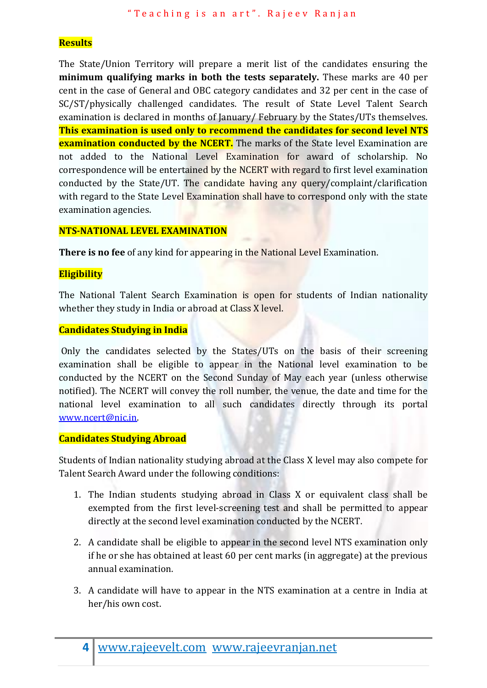## **Results**

The State/Union Territory will prepare a merit list of the candidates ensuring the **minimum qualifying marks in both the tests separately.** These marks are 40 per cent in the case of General and OBC category candidates and 32 per cent in the case of SC/ST/physically challenged candidates. The result of State Level Talent Search examination is declared in months of January/ February by the States/UTs themselves. **This examination is used only to recommend the candidates for second level NTS examination conducted by the NCERT.** The marks of the State level Examination are not added to the National Level Examination for award of scholarship. No correspondence will be entertained by the NCERT with regard to first level examination conducted by the State/UT. The candidate having any query/complaint/clarification with regard to the State Level Examination shall have to correspond only with the state examination agencies.

## **NTS-NATIONAL LEVEL EXAMINATION**

**There is no fee** of any kind for appearing in the National Level Examination.

## **Eligibility**

The National Talent Search Examination is open for students of Indian nationality whether they study in India or abroad at Class X level.

#### **Candidates Studying in India**

Only the candidates selected by the States/UTs on the basis of their screening examination shall be eligible to appear in the National level examination to be conducted by the NCERT on the Second Sunday of May each year (unless otherwise notified). The NCERT will convey the roll number, the venue, the date and time for the national level examination to all such candidates directly through its portal [www.ncert@nic.in.](http://www.ncert@nic.in/)

#### **Candidates Studying Abroad**

Students of Indian nationality studying abroad at the Class X level may also compete for Talent Search Award under the following conditions:

- 1. The Indian students studying abroad in Class X or equivalent class shall be exempted from the first level-screening test and shall be permitted to appear directly at the second level examination conducted by the NCERT.
- 2. A candidate shall be eligible to appear in the second level NTS examination only if he or she has obtained at least 60 per cent marks (in aggregate) at the previous annual examination.
- 3. A candidate will have to appear in the NTS examination at a centre in India at her/his own cost.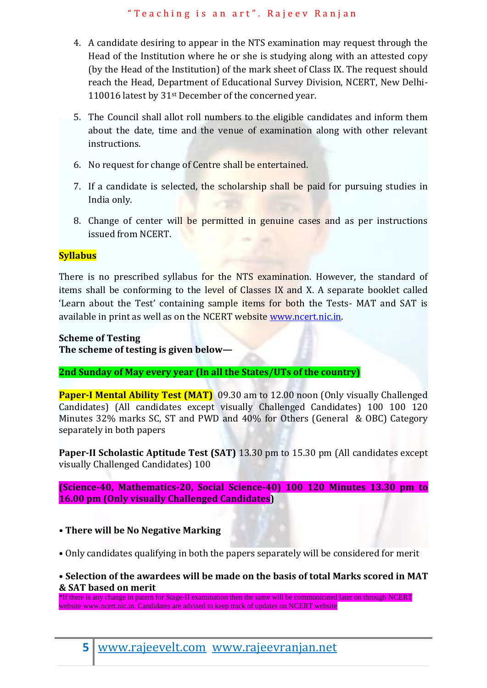- 4. A candidate desiring to appear in the NTS examination may request through the Head of the Institution where he or she is studying along with an attested copy (by the Head of the Institution) of the mark sheet of Class IX. The request should reach the Head, Department of Educational Survey Division, NCERT, New Delhi-110016 latest by 31<sup>st</sup> December of the concerned year.
- 5. The Council shall allot roll numbers to the eligible candidates and inform them about the date, time and the venue of examination along with other relevant instructions.
- 6. No request for change of Centre shall be entertained.
- 7. If a candidate is selected, the scholarship shall be paid for pursuing studies in India only.
- 8. Change of center will be permitted in genuine cases and as per instructions issued from NCERT.

# **Syllabus**

There is no prescribed syllabus for the NTS examination. However, the standard of items shall be conforming to the level of Classes IX and X. A separate booklet called 'Learn about the Test' containing sample items for both the Tests- MAT and SAT is available in print as well as on the NCERT website [www.ncert.nic.in.](http://www.ncert.nic.in/)

# **Scheme of Testing**

**The scheme of testing is given below—**

**2nd Sunday of May every year (In all the States/UTs of the country)**

**Paper-I Mental Ability Test (MAT)** 09.30 am to 12.00 noon (Only visually Challenged Candidates) (All candidates except visually Challenged Candidates) 100 100 120 Minutes 32% marks SC, ST and PWD and 40% for Others (General & OBC) Category separately in both papers

**Paper-II Scholastic Aptitude Test (SAT)** 13.30 pm to 15.30 pm (All candidates except visually Challenged Candidates) 100

**(Science-40, Mathematics-20, Social Science-40) 100 120 Minutes 13.30 pm to 16.00 pm (Only visually Challenged Candidates)**

# **• There will be No Negative Marking**

• Only candidates qualifying in both the papers separately will be considered for merit

# • **Selection of the awardees will be made on the basis of total Marks scored in MAT & SAT based on merit**

\*If there is any change in patern for Stage-II examination then the same will be communicated later on through NCERT website www.ncert.nic.in. Candidates are advised to keep track of updates on NCERT website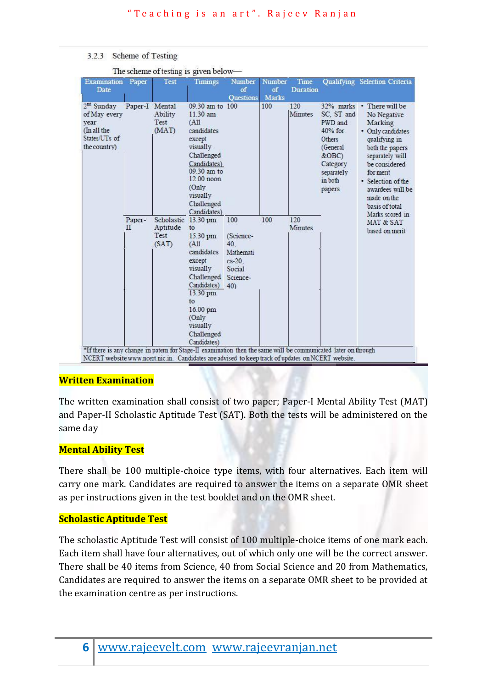#### 3.2.3 Scheme of Testing

| <b>Examination</b><br>Date                                                                                                                                                                             | Paper                 | <b>Test</b>                                      | <b>Timings</b>                                                                                                                                                                         | Number<br>of                                                       | Number<br>of | Time<br><b>Duration</b> |                                                                                                                         | Qualifying Selection Criteria                                                                                                                                                                                                                                                              |
|--------------------------------------------------------------------------------------------------------------------------------------------------------------------------------------------------------|-----------------------|--------------------------------------------------|----------------------------------------------------------------------------------------------------------------------------------------------------------------------------------------|--------------------------------------------------------------------|--------------|-------------------------|-------------------------------------------------------------------------------------------------------------------------|--------------------------------------------------------------------------------------------------------------------------------------------------------------------------------------------------------------------------------------------------------------------------------------------|
|                                                                                                                                                                                                        |                       |                                                  |                                                                                                                                                                                        | <b>Ouestions</b>                                                   | <b>Marks</b> |                         |                                                                                                                         |                                                                                                                                                                                                                                                                                            |
| $2nd$ Sunday<br>of May every<br>vear<br>(In all the<br>States/UTs of<br>the country)<br>*If there is any change in patern for Stage-II examination then the same will be communicated later on through | Paper-I Mental        | Ability<br>Test<br>(MAT)                         | 09.30 am to 100<br>11.30 am<br>(AII)<br>candidates<br>except<br>visually<br>Challenged<br>Candidates)<br>09.30 am to<br>$12.00$ noon<br>(Only<br>visually<br>Challenged<br>Candidates) |                                                                    | 100          | 120<br>Minutes          | SC, ST and<br>PWD and<br>$40\%$ for<br>Others<br>(General<br>$&$ OBC $)$<br>Category<br>separately<br>in both<br>papers | 32% marks • There will be<br>No Negative<br>Marking<br>• Only candidates<br>qualifying in<br>both the papers<br>separately will<br>be considered<br>for merit<br>· Selection of the<br>awardees will be<br>made on the<br>basis of total<br>Marks scored in<br>MAT & SAT<br>based on merit |
|                                                                                                                                                                                                        | Paper-<br>$_{\rm II}$ | Scholastic 13.30 pm<br>Aptitude<br>Test<br>(SAT) | to<br>15.30 pm<br>(A11)<br>candidates<br>except<br>visually<br>Challenged Science-<br>Candidates)<br>13.30 pm<br>to<br>16.00 pm<br>(Only)<br>visually<br>Challenged<br>Candidates)     | 100<br>(Science-<br>40.<br>Mathemati<br>$cs-20$ .<br>Social<br>40) | 100          | 120<br>Minutes          |                                                                                                                         |                                                                                                                                                                                                                                                                                            |

The scheme of testing is given below-

## **Written Examination**

The written examination shall consist of two paper; Paper-I Mental Ability Test (MAT) and Paper-II Scholastic Aptitude Test (SAT). Both the tests will be administered on the same day

# **Mental Ability Test**

There shall be 100 multiple-choice type items, with four alternatives. Each item will carry one mark. Candidates are required to answer the items on a separate OMR sheet as per instructions given in the test booklet and on the OMR sheet.

# **Scholastic Aptitude Test**

The scholastic Aptitude Test will consist of 100 multiple-choice items of one mark each. Each item shall have four alternatives, out of which only one will be the correct answer. There shall be 40 items from Science, 40 from Social Science and 20 from Mathematics, Candidates are required to answer the items on a separate OMR sheet to be provided at the examination centre as per instructions.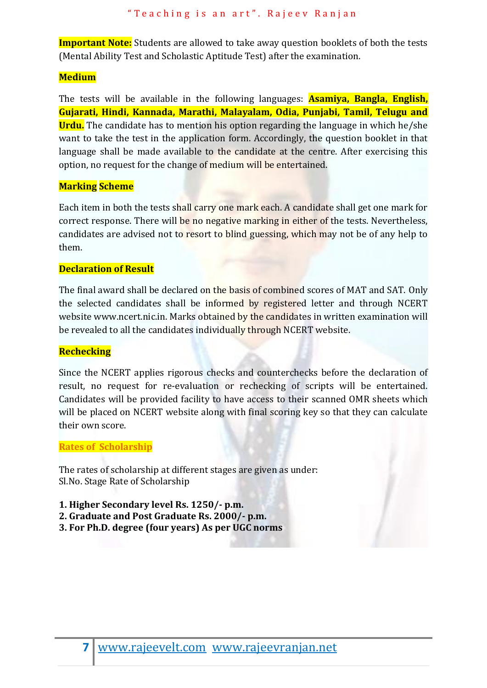**Important Note:** Students are allowed to take away question booklets of both the tests (Mental Ability Test and Scholastic Aptitude Test) after the examination.

# **Medium**

The tests will be available in the following languages: **Asamiya, Bangla, English, Gujarati, Hindi, Kannada, Marathi, Malayalam, Odia, Punjabi, Tamil, Telugu and Urdu.** The candidate has to mention his option regarding the language in which he/she want to take the test in the application form. Accordingly, the question booklet in that language shall be made available to the candidate at the centre. After exercising this option, no request for the change of medium will be entertained.

# **Marking Scheme**

Each item in both the tests shall carry one mark each. A candidate shall get one mark for correct response. There will be no negative marking in either of the tests. Nevertheless, candidates are advised not to resort to blind guessing, which may not be of any help to them.

## **Declaration of Result**

The final award shall be declared on the basis of combined scores of MAT and SAT. Only the selected candidates shall be informed by registered letter and through NCERT website www.ncert.nic.in. Marks obtained by the candidates in written examination will be revealed to all the candidates individually through NCERT website.

# **Rechecking**

Since the NCERT applies rigorous checks and counterchecks before the declaration of result, no request for re-evaluation or rechecking of scripts will be entertained. Candidates will be provided facility to have access to their scanned OMR sheets which will be placed on NCERT website along with final scoring key so that they can calculate their own score.

## **Rates of Scholarship**

The rates of scholarship at different stages are given as under: Sl.No. Stage Rate of Scholarship

- **1. Higher Secondary level Rs. 1250/- p.m.**
- **2. Graduate and Post Graduate Rs. 2000/- p.m.**
- **3. For Ph.D. degree (four years) As per UGC norms**